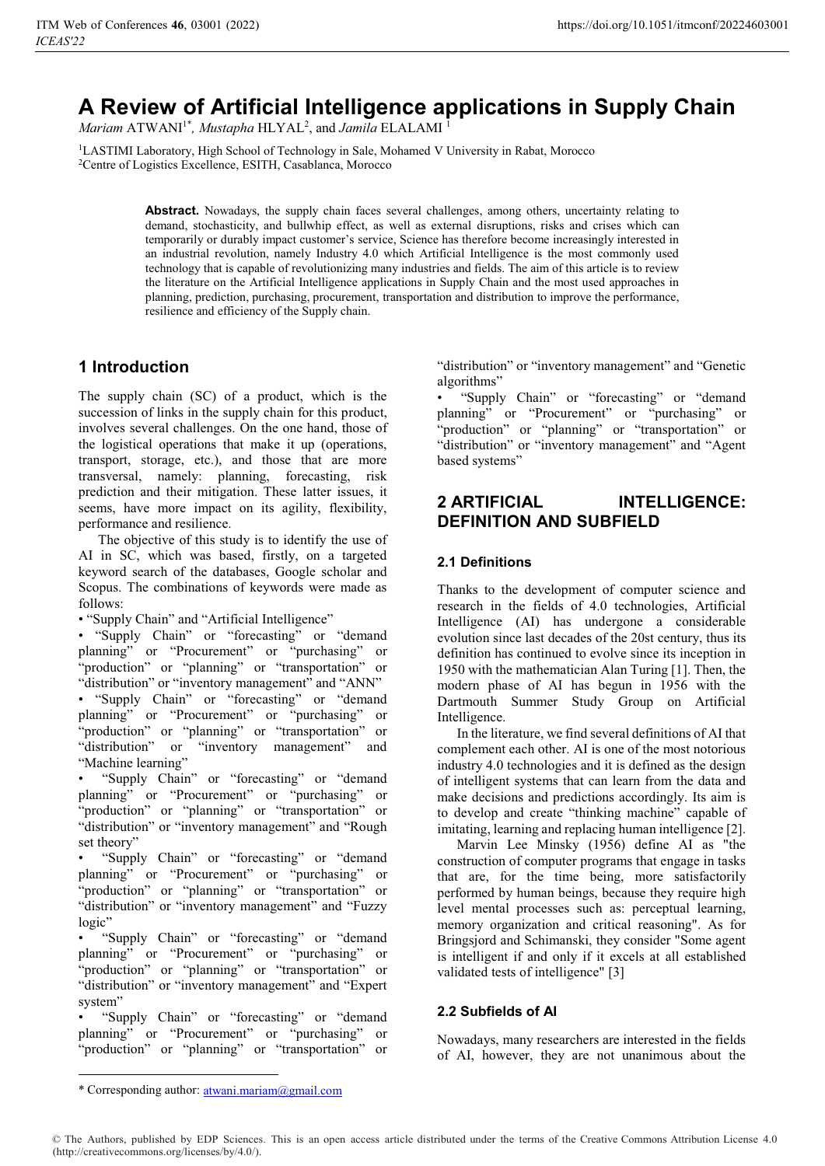# **A Review of Artificial Intelligence applications in Supply Chain**

Mariam ATWANI<sup>1\*</sup>, Mustapha HLYAL<sup>2</sup>, and *Jamila* ELALAMI<sup>1</sup>

<sup>1</sup>LASTIMI Laboratory, High School of Technology in Sale, Mohamed V University in Rabat, Morocco 2Centre of Logistics Excellence, ESITH, Casablanca, Morocco

> **Abstract.** Nowadays, the supply chain faces several challenges, among others, uncertainty relating to demand, stochasticity, and bullwhip effect, as well as external disruptions, risks and crises which can temporarily or durably impact customer's service, Science has therefore become increasingly interested in an industrial revolution, namely Industry 4.0 which Artificial Intelligence is the most commonly used technology that is capable of revolutionizing many industries and fields. The aim of this article is to review the literature on the Artificial Intelligence applications in Supply Chain and the most used approaches in planning, prediction, purchasing, procurement, transportation and distribution to improve the performance, resilience and efficiency of the Supply chain.

# **1 Introduction**

The supply chain (SC) of a product, which is the succession of links in the supply chain for this product, involves several challenges. On the one hand, those of the logistical operations that make it up (operations, transport, storage, etc.), and those that are more transversal, namely: planning, forecasting, risk prediction and their mitigation. These latter issues, it seems, have more impact on its agility, flexibility, performance and resilience.

The objective of this study is to identify the use of AI in SC, which was based, firstly, on a targeted keyword search of the databases, Google scholar and Scopus. The combinations of keywords were made as follows:

• "Supply Chain" and "Artificial Intelligence"

• "Supply Chain" or "forecasting" or "demand planning" or "Procurement" or "purchasing" or "production" or "planning" or "transportation" or "distribution" or "inventory management" and "ANN" • "Supply Chain" or "forecasting" or "demand planning" or "Procurement" or "purchasing" or "production" or "planning" or "transportation" or "distribution" or "inventory management" and "Machine learning"

• "Supply Chain" or "forecasting" or "demand planning" or "Procurement" or "purchasing" or "production" or "planning" or "transportation" or "distribution" or "inventory management" and "Rough set theory"

• "Supply Chain" or "forecasting" or "demand planning" or "Procurement" or "purchasing" or "production" or "planning" or "transportation" or "distribution" or "inventory management" and "Fuzzy logic"

• "Supply Chain" or "forecasting" or "demand planning" or "Procurement" or "purchasing" or "production" or "planning" or "transportation" or "distribution" or "inventory management" and "Expert system"

• "Supply Chain" or "forecasting" or "demand planning" or "Procurement" or "purchasing" or "production" or "planning" or "transportation" or "distribution" or "inventory management" and "Genetic algorithms"

• "Supply Chain" or "forecasting" or "demand planning" or "Procurement" or "purchasing" or "production" or "planning" or "transportation" or "distribution" or "inventory management" and "Agent based systems"

# **2 ARTIFICIAL INTELLIGENCE: DEFINITION AND SUBFIELD**

#### **2.1 Definitions**

Thanks to the development of computer science and research in the fields of 4.0 technologies, Artificial Intelligence (AI) has undergone a considerable evolution since last decades of the 20st century, thus its definition has continued to evolve since its inception in 1950 with the mathematician Alan Turing [1]. Then, the modern phase of AI has begun in 1956 with the Dartmouth Summer Study Group on Artificial Intelligence.

In the literature, we find several definitions of AI that complement each other. AI is one of the most notorious industry 4.0 technologies and it is defined as the design of intelligent systems that can learn from the data and make decisions and predictions accordingly. Its aim is to develop and create "thinking machine" capable of imitating, learning and replacing human intelligence [2].

Marvin Lee Minsky (1956) define AI as "the construction of computer programs that engage in tasks that are, for the time being, more satisfactorily performed by human beings, because they require high level mental processes such as: perceptual learning, memory organization and critical reasoning". As for Bringsjord and Schimanski, they consider "Some agent is intelligent if and only if it excels at all established validated tests of intelligence" [3]

#### **2.2 Subfields of AI**

Nowadays, many researchers are interested in the fields of AI, however, they are not unanimous about the

<u>.</u>

<sup>\*</sup> Corresponding author: atwani.mariam@gmail.com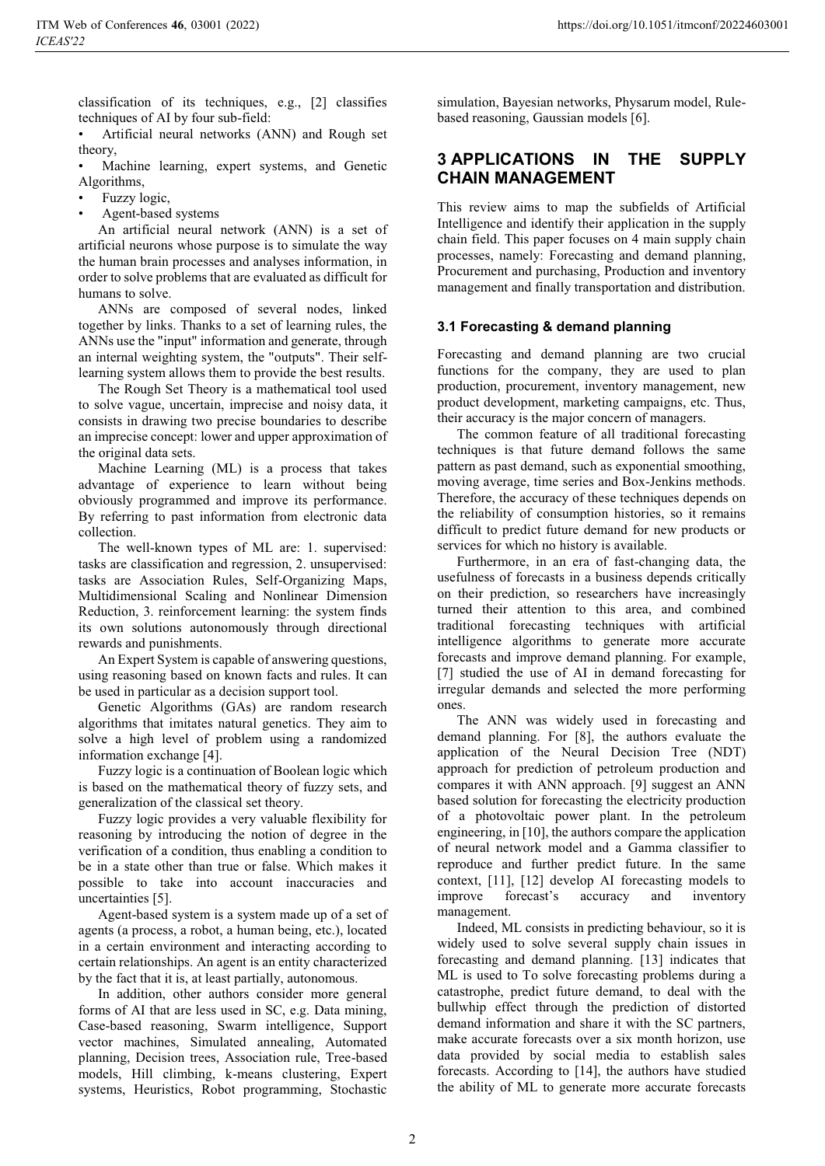classification of its techniques, e.g., [2] classifies techniques of AI by four sub-field:

• Artificial neural networks (ANN) and Rough set theory,

Machine learning, expert systems, and Genetic Algorithms,

- Fuzzy logic,
- Agent-based systems

An artificial neural network (ANN) is a set of artificial neurons whose purpose is to simulate the way the human brain processes and analyses information, in order to solve problems that are evaluated as difficult for humans to solve.

ANNs are composed of several nodes, linked together by links. Thanks to a set of learning rules, the ANNs use the "input" information and generate, through an internal weighting system, the "outputs". Their selflearning system allows them to provide the best results.

The Rough Set Theory is a mathematical tool used to solve vague, uncertain, imprecise and noisy data, it consists in drawing two precise boundaries to describe an imprecise concept: lower and upper approximation of the original data sets.

Machine Learning (ML) is a process that takes advantage of experience to learn without being obviously programmed and improve its performance. By referring to past information from electronic data collection.

The well-known types of ML are: 1. supervised: tasks are classification and regression, 2. unsupervised: tasks are Association Rules, Self-Organizing Maps, Multidimensional Scaling and Nonlinear Dimension Reduction, 3. reinforcement learning: the system finds its own solutions autonomously through directional rewards and punishments.

An Expert System is capable of answering questions, using reasoning based on known facts and rules. It can be used in particular as a decision support tool.

Genetic Algorithms (GAs) are random research algorithms that imitates natural genetics. They aim to solve a high level of problem using a randomized information exchange [4].

Fuzzy logic is a continuation of Boolean logic which is based on the mathematical theory of fuzzy sets, and generalization of the classical set theory.

Fuzzy logic provides a very valuable flexibility for reasoning by introducing the notion of degree in the verification of a condition, thus enabling a condition to be in a state other than true or false. Which makes it possible to take into account inaccuracies and uncertainties [5].

Agent-based system is a system made up of a set of agents (a process, a robot, a human being, etc.), located in a certain environment and interacting according to certain relationships. An agent is an entity characterized by the fact that it is, at least partially, autonomous.

In addition, other authors consider more general forms of AI that are less used in SC, e.g. Data mining, Case-based reasoning, Swarm intelligence, Support vector machines, Simulated annealing, Automated planning, Decision trees, Association rule, Tree-based models, Hill climbing, k-means clustering, Expert systems, Heuristics, Robot programming, Stochastic

simulation, Bayesian networks, Physarum model, Rulebased reasoning, Gaussian models [6].

### **3 APPLICATIONS IN THE SUPPLY CHAIN MANAGEMENT**

This review aims to map the subfields of Artificial Intelligence and identify their application in the supply chain field. This paper focuses on 4 main supply chain processes, namely: Forecasting and demand planning, Procurement and purchasing, Production and inventory management and finally transportation and distribution.

#### **3.1 Forecasting & demand planning**

Forecasting and demand planning are two crucial functions for the company, they are used to plan production, procurement, inventory management, new product development, marketing campaigns, etc. Thus, their accuracy is the major concern of managers.

The common feature of all traditional forecasting techniques is that future demand follows the same pattern as past demand, such as exponential smoothing, moving average, time series and Box-Jenkins methods. Therefore, the accuracy of these techniques depends on the reliability of consumption histories, so it remains difficult to predict future demand for new products or services for which no history is available.

Furthermore, in an era of fast-changing data, the usefulness of forecasts in a business depends critically on their prediction, so researchers have increasingly turned their attention to this area, and combined traditional forecasting techniques with artificial intelligence algorithms to generate more accurate forecasts and improve demand planning. For example, [7] studied the use of AI in demand forecasting for irregular demands and selected the more performing ones.

The ANN was widely used in forecasting and demand planning. For [8], the authors evaluate the application of the Neural Decision Tree (NDT) approach for prediction of petroleum production and compares it with ANN approach. [9] suggest an ANN based solution for forecasting the electricity production of a photovoltaic power plant. In the petroleum engineering, in [10], the authors compare the application of neural network model and a Gamma classifier to reproduce and further predict future. In the same context, [11], [12] develop AI forecasting models to improve forecast's accuracy and inventory management.

Indeed, ML consists in predicting behaviour, so it is widely used to solve several supply chain issues in forecasting and demand planning. [13] indicates that ML is used to To solve forecasting problems during a catastrophe, predict future demand, to deal with the bullwhip effect through the prediction of distorted demand information and share it with the SC partners, make accurate forecasts over a six month horizon, use data provided by social media to establish sales forecasts. According to [14], the authors have studied the ability of ML to generate more accurate forecasts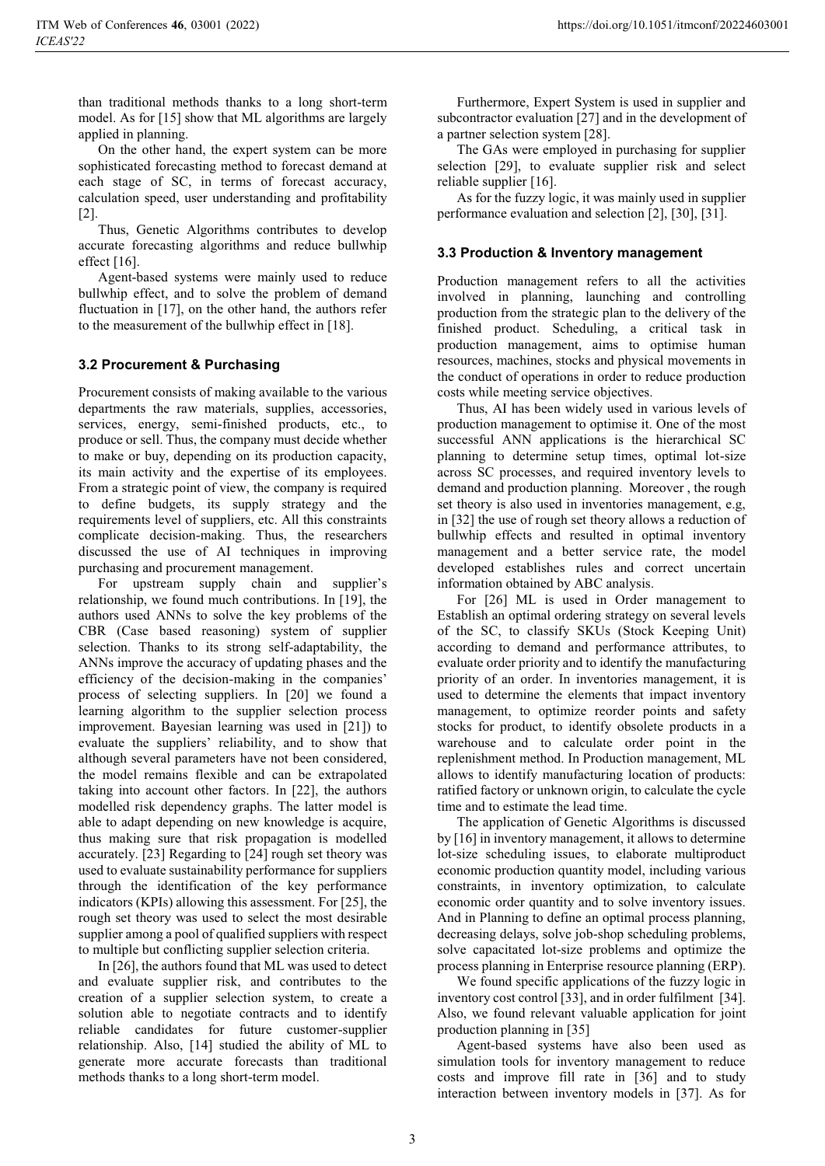than traditional methods thanks to a long short-term model. As for [15] show that ML algorithms are largely applied in planning.

On the other hand, the expert system can be more sophisticated forecasting method to forecast demand at each stage of SC, in terms of forecast accuracy, calculation speed, user understanding and profitability [2].

Thus, Genetic Algorithms contributes to develop accurate forecasting algorithms and reduce bullwhip effect  $[16]$ .

Agent-based systems were mainly used to reduce bullwhip effect, and to solve the problem of demand fluctuation in [17], on the other hand, the authors refer to the measurement of the bullwhip effect in [18].

#### **3.2 Procurement & Purchasing**

Procurement consists of making available to the various departments the raw materials, supplies, accessories, services, energy, semi-finished products, etc., to produce or sell. Thus, the company must decide whether to make or buy, depending on its production capacity, its main activity and the expertise of its employees. From a strategic point of view, the company is required to define budgets, its supply strategy and the requirements level of suppliers, etc. All this constraints complicate decision-making. Thus, the researchers discussed the use of AI techniques in improving purchasing and procurement management.

For upstream supply chain and supplier's relationship, we found much contributions. In [19], the authors used ANNs to solve the key problems of the CBR (Case based reasoning) system of supplier selection. Thanks to its strong self-adaptability, the ANNs improve the accuracy of updating phases and the efficiency of the decision-making in the companies' process of selecting suppliers. In [20] we found a learning algorithm to the supplier selection process improvement. Bayesian learning was used in [21]) to evaluate the suppliers' reliability, and to show that although several parameters have not been considered, the model remains flexible and can be extrapolated taking into account other factors. In [22], the authors modelled risk dependency graphs. The latter model is able to adapt depending on new knowledge is acquire, thus making sure that risk propagation is modelled accurately. [23] Regarding to [24] rough set theory was used to evaluate sustainability performance for suppliers through the identification of the key performance indicators (KPIs) allowing this assessment. For [25], the rough set theory was used to select the most desirable supplier among a pool of qualified suppliers with respect to multiple but conflicting supplier selection criteria.

In [26], the authors found that ML was used to detect and evaluate supplier risk, and contributes to the creation of a supplier selection system, to create a solution able to negotiate contracts and to identify reliable candidates for future customer-supplier relationship. Also, [14] studied the ability of ML to generate more accurate forecasts than traditional methods thanks to a long short-term model.

Furthermore, Expert System is used in supplier and subcontractor evaluation [27] and in the development of a partner selection system [28].

The GAs were employed in purchasing for supplier selection [29], to evaluate supplier risk and select reliable supplier [16].

As for the fuzzy logic, it was mainly used in supplier performance evaluation and selection [2], [30], [31].

#### **3.3 Production & Inventory management**

Production management refers to all the activities involved in planning, launching and controlling production from the strategic plan to the delivery of the finished product. Scheduling, a critical task in production management, aims to optimise human resources, machines, stocks and physical movements in the conduct of operations in order to reduce production costs while meeting service objectives.

Thus, AI has been widely used in various levels of production management to optimise it. One of the most successful ANN applications is the hierarchical SC planning to determine setup times, optimal lot-size across SC processes, and required inventory levels to demand and production planning. Moreover , the rough set theory is also used in inventories management, e.g, in [32] the use of rough set theory allows a reduction of bullwhip effects and resulted in optimal inventory management and a better service rate, the model developed establishes rules and correct uncertain information obtained by ABC analysis.

For [26] ML is used in Order management to Establish an optimal ordering strategy on several levels of the SC, to classify SKUs (Stock Keeping Unit) according to demand and performance attributes, to evaluate order priority and to identify the manufacturing priority of an order. In inventories management, it is used to determine the elements that impact inventory management, to optimize reorder points and safety stocks for product, to identify obsolete products in a warehouse and to calculate order point in the replenishment method. In Production management, ML allows to identify manufacturing location of products: ratified factory or unknown origin, to calculate the cycle time and to estimate the lead time.

The application of Genetic Algorithms is discussed by [16] in inventory management, it allows to determine lot-size scheduling issues, to elaborate multiproduct economic production quantity model, including various constraints, in inventory optimization, to calculate economic order quantity and to solve inventory issues. And in Planning to define an optimal process planning, decreasing delays, solve job-shop scheduling problems, solve capacitated lot-size problems and optimize the process planning in Enterprise resource planning (ERP).

We found specific applications of the fuzzy logic in inventory cost control [33], and in order fulfilment [34]. Also, we found relevant valuable application for joint production planning in [35]

Agent-based systems have also been used as simulation tools for inventory management to reduce costs and improve fill rate in [36] and to study interaction between inventory models in [37]. As for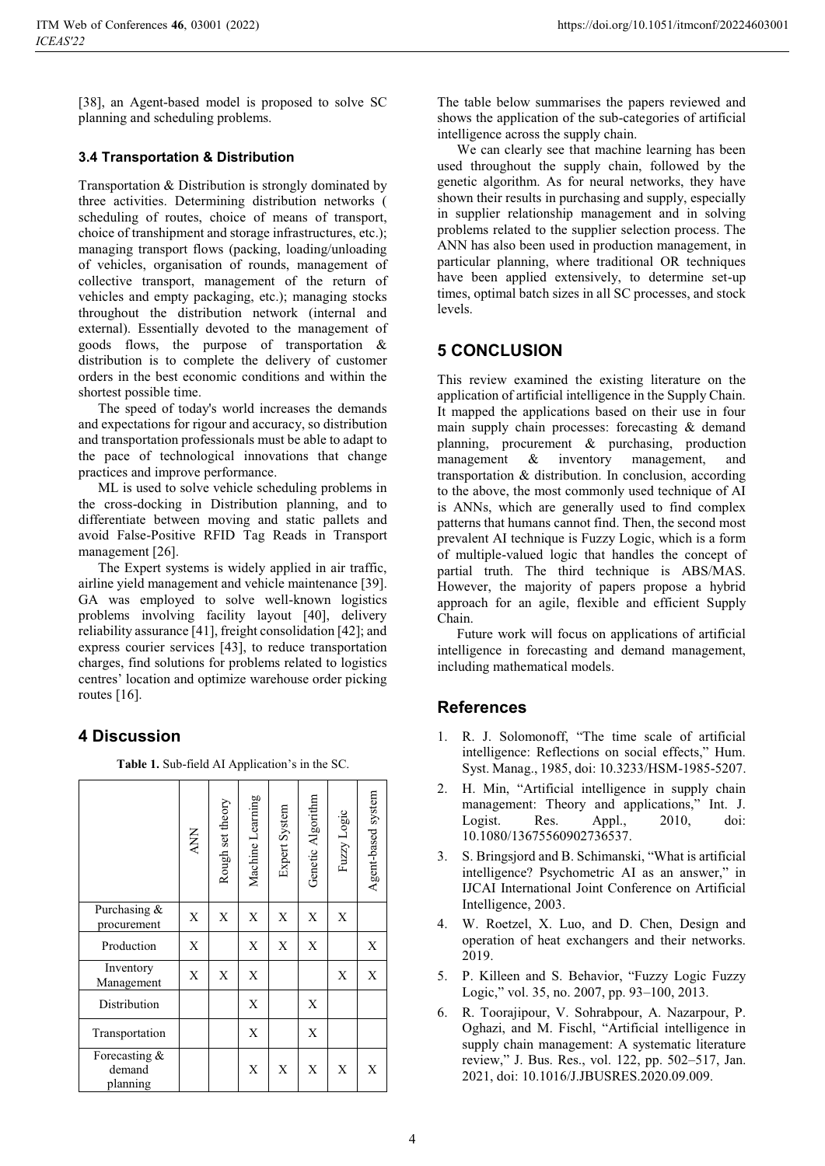[38], an Agent-based model is proposed to solve SC planning and scheduling problems.

#### **3.4 Transportation & Distribution**

Transportation & Distribution is strongly dominated by three activities. Determining distribution networks ( scheduling of routes, choice of means of transport, choice of transhipment and storage infrastructures, etc.); managing transport flows (packing, loading/unloading of vehicles, organisation of rounds, management of collective transport, management of the return of vehicles and empty packaging, etc.); managing stocks throughout the distribution network (internal and external). Essentially devoted to the management of goods flows, the purpose of transportation & distribution is to complete the delivery of customer orders in the best economic conditions and within the shortest possible time.

The speed of today's world increases the demands and expectations for rigour and accuracy, so distribution and transportation professionals must be able to adapt to the pace of technological innovations that change practices and improve performance.

ML is used to solve vehicle scheduling problems in the cross-docking in Distribution planning, and to differentiate between moving and static pallets and avoid False-Positive RFID Tag Reads in Transport management [26].

The Expert systems is widely applied in air traffic, airline yield management and vehicle maintenance [39]. GA was employed to solve well-known logistics problems involving facility layout [40], delivery reliability assurance [41], freight consolidation [42]; and express courier services [43], to reduce transportation charges, find solutions for problems related to logistics centres' location and optimize warehouse order picking routes [16].

### **4 Discussion**

**Table 1.** Sub-field AI Application's in the SC.

|                                     | <b>ANN</b> | Rough set theory | Machine Learning | Expert System | Genetic Algorithm | Fuzzy Logic | Agent-based system |
|-------------------------------------|------------|------------------|------------------|---------------|-------------------|-------------|--------------------|
| Purchasing &<br>procurement         | X          | X                | X                | X             | X                 | X           |                    |
| Production                          | X          |                  | X                | X             | X                 |             | X                  |
| Inventory<br>Management             | X          | X                | X                |               |                   | X           | X                  |
| Distribution                        |            |                  | X                |               | X                 |             |                    |
| Transportation                      |            |                  | X                |               | X                 |             |                    |
| Forecasting &<br>demand<br>planning |            |                  | X                | X             | X                 | X           | X                  |

The table below summarises the papers reviewed and shows the application of the sub-categories of artificial intelligence across the supply chain.

We can clearly see that machine learning has been used throughout the supply chain, followed by the genetic algorithm. As for neural networks, they have shown their results in purchasing and supply, especially in supplier relationship management and in solving problems related to the supplier selection process. The ANN has also been used in production management, in particular planning, where traditional OR techniques have been applied extensively, to determine set-up times, optimal batch sizes in all SC processes, and stock levels.

# **5 CONCLUSION**

This review examined the existing literature on the application of artificial intelligence in the Supply Chain. It mapped the applications based on their use in four main supply chain processes: forecasting & demand planning, procurement & purchasing, production management & inventory management, and transportation & distribution. In conclusion, according to the above, the most commonly used technique of AI is ANNs, which are generally used to find complex patterns that humans cannot find. Then, the second most prevalent AI technique is Fuzzy Logic, which is a form of multiple-valued logic that handles the concept of partial truth. The third technique is ABS/MAS. However, the majority of papers propose a hybrid approach for an agile, flexible and efficient Supply Chain.

Future work will focus on applications of artificial intelligence in forecasting and demand management, including mathematical models.

# **References**

- 1. R. J. Solomonoff, "The time scale of artificial intelligence: Reflections on social effects," Hum. Syst. Manag., 1985, doi: 10.3233/HSM-1985-5207.
- 2. H. Min, "Artificial intelligence in supply chain management: Theory and applications," Int. J. Logist. Res. Appl., 2010, doi: 10.1080/13675560902736537.
- 3. S. Bringsjord and B. Schimanski, "What is artificial intelligence? Psychometric AI as an answer," in IJCAI International Joint Conference on Artificial Intelligence, 2003.
- 4. W. Roetzel, X. Luo, and D. Chen, Design and operation of heat exchangers and their networks. 2019.
- 5. P. Killeen and S. Behavior, "Fuzzy Logic Fuzzy Logic," vol. 35, no. 2007, pp. 93–100, 2013.
- 6. R. Toorajipour, V. Sohrabpour, A. Nazarpour, P. Oghazi, and M. Fischl, "Artificial intelligence in supply chain management: A systematic literature review," J. Bus. Res., vol. 122, pp. 502–517, Jan. 2021, doi: 10.1016/J.JBUSRES.2020.09.009.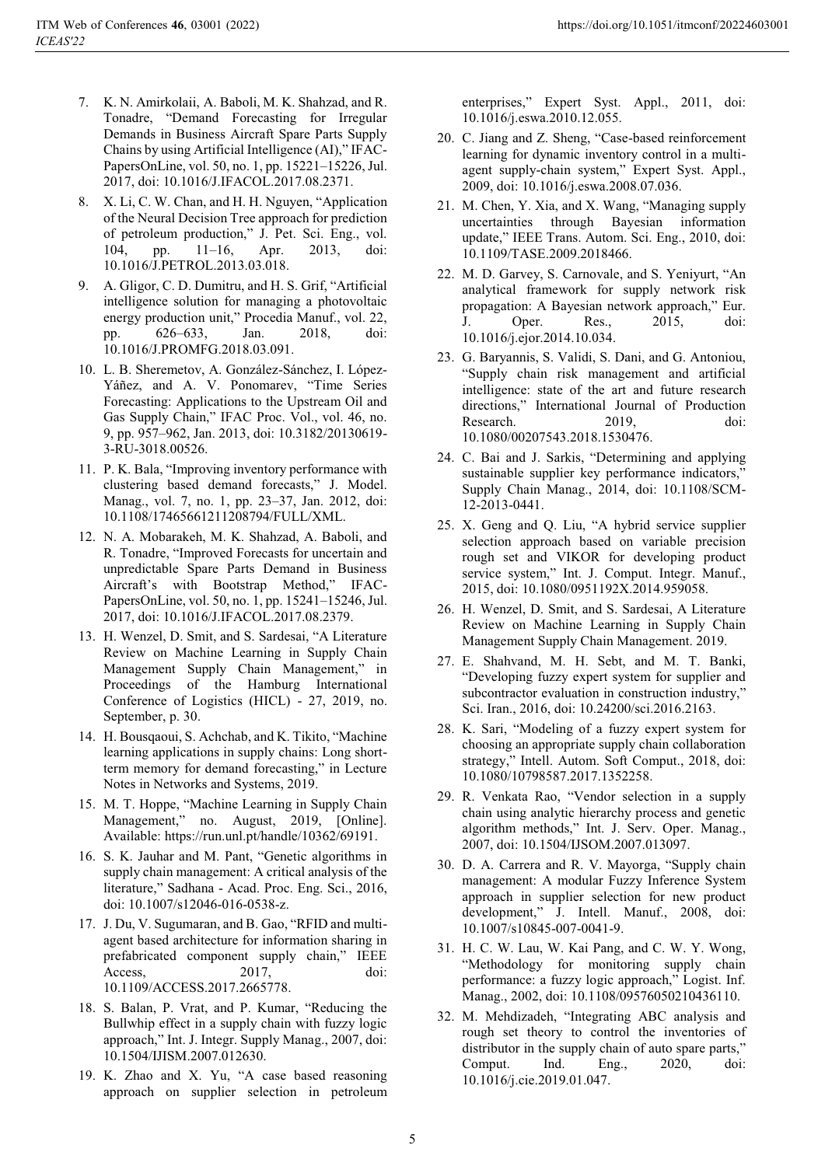- 7. K. N. Amirkolaii, A. Baboli, M. K. Shahzad, and R. Tonadre, "Demand Forecasting for Irregular Demands in Business Aircraft Spare Parts Supply Chains by using Artificial Intelligence (AI)," IFAC-PapersOnLine, vol. 50, no. 1, pp. 15221–15226, Jul. 2017, doi: 10.1016/J.IFACOL.2017.08.2371.
- 8. X. Li, C. W. Chan, and H. H. Nguyen, "Application of the Neural Decision Tree approach for prediction of petroleum production," J. Pet. Sci. Eng., vol. 104, pp. 11–16, Apr. 2013, doi: 10.1016/J.PETROL.2013.03.018.
- 9. A. Gligor, C. D. Dumitru, and H. S. Grif, "Artificial intelligence solution for managing a photovoltaic energy production unit," Procedia Manuf., vol. 22, pp. 626–633, Jan. 2018, doi: 10.1016/J.PROMFG.2018.03.091.
- 10. L. B. Sheremetov, A. González-Sánchez, I. López-Yáñez, and A. V. Ponomarev, "Time Series Forecasting: Applications to the Upstream Oil and Gas Supply Chain," IFAC Proc. Vol., vol. 46, no. 9, pp. 957–962, Jan. 2013, doi: 10.3182/20130619- 3-RU-3018.00526.
- 11. P. K. Bala, "Improving inventory performance with clustering based demand forecasts," J. Model. Manag., vol. 7, no. 1, pp. 23–37, Jan. 2012, doi: 10.1108/17465661211208794/FULL/XML.
- 12. N. A. Mobarakeh, M. K. Shahzad, A. Baboli, and R. Tonadre, "Improved Forecasts for uncertain and unpredictable Spare Parts Demand in Business Aircraft's with Bootstrap Method," IFAC-PapersOnLine, vol. 50, no. 1, pp. 15241–15246, Jul. 2017, doi: 10.1016/J.IFACOL.2017.08.2379.
- 13. H. Wenzel, D. Smit, and S. Sardesai, "A Literature Review on Machine Learning in Supply Chain Management Supply Chain Management," in Proceedings of the Hamburg International Conference of Logistics (HICL) - 27, 2019, no. September, p. 30.
- 14. H. Bousqaoui, S. Achchab, and K. Tikito, "Machine learning applications in supply chains: Long shortterm memory for demand forecasting," in Lecture Notes in Networks and Systems, 2019.
- 15. M. T. Hoppe, "Machine Learning in Supply Chain Management," no. August, 2019, [Online]. Available: https://run.unl.pt/handle/10362/69191.
- 16. S. K. Jauhar and M. Pant, "Genetic algorithms in supply chain management: A critical analysis of the literature," Sadhana - Acad. Proc. Eng. Sci., 2016, doi: 10.1007/s12046-016-0538-z.
- 17. J. Du, V. Sugumaran, and B. Gao, "RFID and multiagent based architecture for information sharing in prefabricated component supply chain," IEEE Access. 2017, doi: 10.1109/ACCESS.2017.2665778.
- 18. S. Balan, P. Vrat, and P. Kumar, "Reducing the Bullwhip effect in a supply chain with fuzzy logic approach," Int. J. Integr. Supply Manag., 2007, doi: 10.1504/IJISM.2007.012630.
- 19. K. Zhao and X. Yu, "A case based reasoning approach on supplier selection in petroleum

enterprises," Expert Syst. Appl., 2011, doi: 10.1016/j.eswa.2010.12.055.

- 20. C. Jiang and Z. Sheng, "Case-based reinforcement learning for dynamic inventory control in a multiagent supply-chain system," Expert Syst. Appl., 2009, doi: 10.1016/j.eswa.2008.07.036.
- 21. M. Chen, Y. Xia, and X. Wang, "Managing supply uncertainties through Bayesian information update," IEEE Trans. Autom. Sci. Eng., 2010, doi: 10.1109/TASE.2009.2018466.
- 22. M. D. Garvey, S. Carnovale, and S. Yeniyurt, "An analytical framework for supply network risk propagation: A Bayesian network approach," Eur. J. Oper. Res., 2015, doi: 10.1016/j.ejor.2014.10.034.
- 23. G. Baryannis, S. Validi, S. Dani, and G. Antoniou, "Supply chain risk management and artificial intelligence: state of the art and future research directions," International Journal of Production Research. 2019, doi: 10.1080/00207543.2018.1530476.
- 24. C. Bai and J. Sarkis, "Determining and applying sustainable supplier key performance indicators, Supply Chain Manag., 2014, doi: 10.1108/SCM-12-2013-0441.
- 25. X. Geng and Q. Liu, "A hybrid service supplier selection approach based on variable precision rough set and VIKOR for developing product service system," Int. J. Comput. Integr. Manuf., 2015, doi: 10.1080/0951192X.2014.959058.
- 26. H. Wenzel, D. Smit, and S. Sardesai, A Literature Review on Machine Learning in Supply Chain Management Supply Chain Management. 2019.
- 27. E. Shahvand, M. H. Sebt, and M. T. Banki, "Developing fuzzy expert system for supplier and subcontractor evaluation in construction industry," Sci. Iran., 2016, doi: 10.24200/sci.2016.2163.
- 28. K. Sari, "Modeling of a fuzzy expert system for choosing an appropriate supply chain collaboration strategy," Intell. Autom. Soft Comput., 2018, doi: 10.1080/10798587.2017.1352258.
- 29. R. Venkata Rao, "Vendor selection in a supply chain using analytic hierarchy process and genetic algorithm methods," Int. J. Serv. Oper. Manag., 2007, doi: 10.1504/IJSOM.2007.013097.
- 30. D. A. Carrera and R. V. Mayorga, "Supply chain management: A modular Fuzzy Inference System approach in supplier selection for new product development," J. Intell. Manuf., 2008, doi: 10.1007/s10845-007-0041-9.
- 31. H. C. W. Lau, W. Kai Pang, and C. W. Y. Wong, "Methodology for monitoring supply chain performance: a fuzzy logic approach," Logist. Inf. Manag., 2002, doi: 10.1108/09576050210436110.
- 32. M. Mehdizadeh, "Integrating ABC analysis and rough set theory to control the inventories of distributor in the supply chain of auto spare parts," Comput. Ind. Eng., 2020, doi: 10.1016/j.cie.2019.01.047.